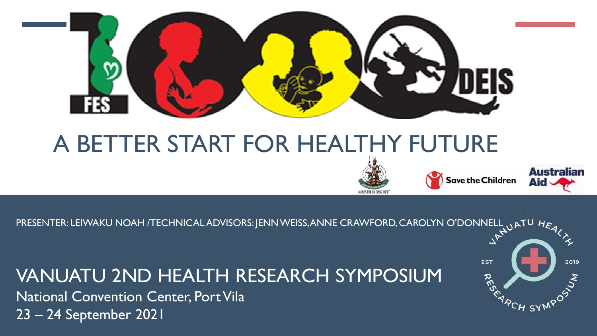

# A BETTER START FOR HEALTHY FUTURE





PRESENTER: LEIWAKU NOAH /TECHNICAL ADVISORS: JENN WEISS, ANNE CRAWFORD, CAROLYN O'DONNELL UATU HEALLY

#### VANUATU 2ND HEALTH RESEARCH SYMPOSIUM

National Convention Center, Port Vila 23 – 24 September 2021

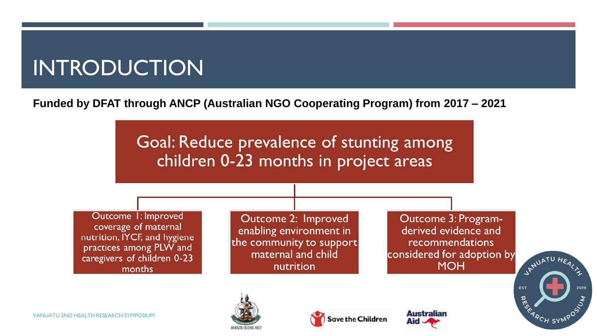# INTRODUCTION

**Funded by DFAT through ANCP (Australian NGO Cooperating Program) from 2017 – 2021**

Goal: Reduce prevalence of stunting among children 0-23 months in project areas

Outcome 1: Improved coverage of maternal nutrition, IYCF, and hygiene practices among PLW and caregivers of children 0-23 months

Outcome 2: Improved enabling environment in the community to support maternal and child nutrition

Outcome 3: Programderived evidence and recommendations considered for adoption by **MOH** 

Australiar

**Save the Children** 



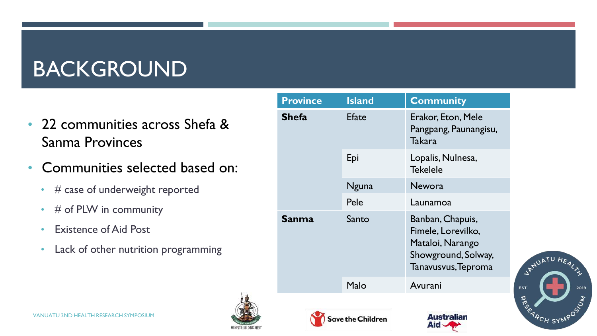## BACKGROUND

- 22 communities across Shefa & Sanma Provinces
- Communities selected based on:
	- # case of underweight reported
	- # of PLW in community
	- Existence of Aid Post
	- Lack of other nutrition programming

| <b>Province</b>   | <b>Island</b> | <b>Community</b>                                                                                         |
|-------------------|---------------|----------------------------------------------------------------------------------------------------------|
| <b>Shefa</b>      | <b>Efate</b>  | Erakor, Eton, Mele<br>Pangpang, Paunangisu,<br>Takara                                                    |
|                   | Epi           | Lopalis, Nulnesa,<br><b>Tekelele</b>                                                                     |
|                   | Nguna         | <b>Newora</b>                                                                                            |
|                   | Pele          | Launamoa                                                                                                 |
| Sanma             | Santo         | Banban, Chapuis,<br>Fimele, Lorevilko,<br>Mataloi, Narango<br>Showground, Solway,<br>Tanavusvus, Teproma |
|                   | Malo          | Avurani                                                                                                  |
|                   |               |                                                                                                          |
| Save the Children |               | <b>Australian</b>                                                                                        |



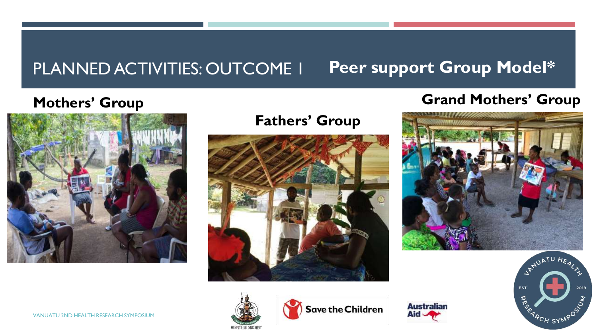#### PLANNED ACTIVITIES: OUTCOME 1 **Peer support Group Model\***

#### **Mothers' Group**



#### **Fathers' Group**



#### **Grand Mothers' Group**









**Save the Children** 

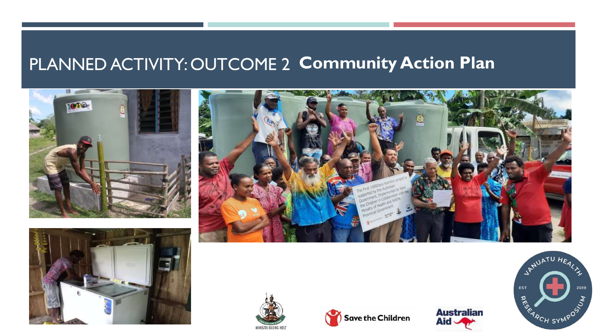#### PLANNED ACTIVITY: OUTCOME 2 **Community Action Plan**











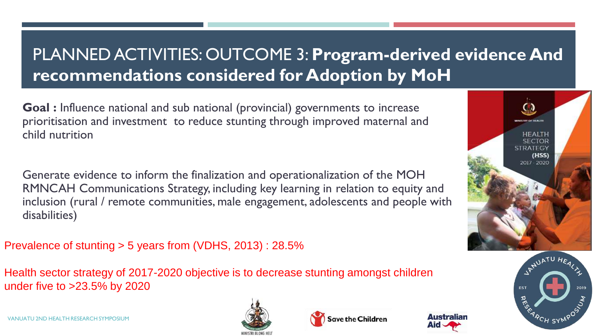### PLANNED ACTIVITIES: OUTCOME 3: **Program-derived evidence And recommendations considered for Adoption by MoH**

**Goal :** Influence national and sub national (provincial) governments to increase prioritisation and investment to reduce stunting through improved maternal and child nutrition

Generate evidence to inform the finalization and operationalization of the MOH RMNCAH Communications Strategy, including key learning in relation to equity and inclusion (rural / remote communities, male engagement, adolescents and people with disabilities)

Prevalence of stunting > 5 years from (VDHS, 2013) : 28.5%

Health sector strategy of 2017-2020 objective is to decrease stunting amongst children under five to >23.5% by 2020









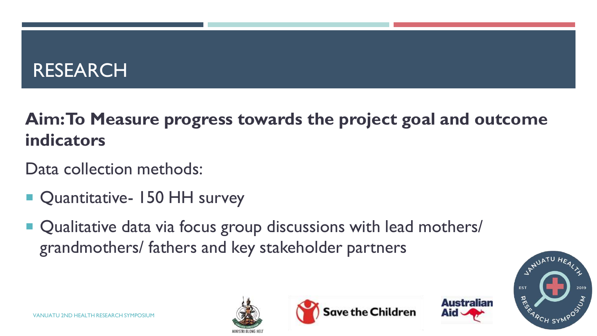### RESEARCH

### **Aim: To Measure progress towards the project goal and outcome indicators**

- Data collection methods:
- Quantitative- 150 HH survey
- Qualitative data via focus group discussions with lead mothers/ grandmothers/ fathers and key stakeholder partners





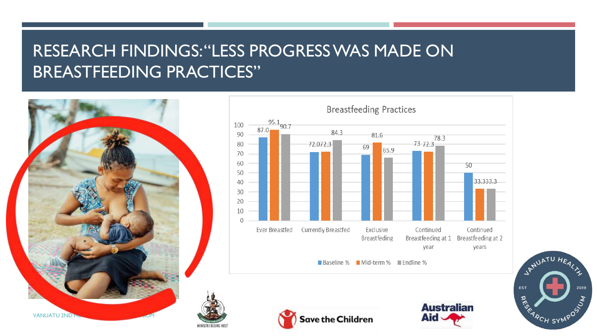#### RESEARCH FINDINGS: "LESS PROGRESS WAS MADE ON BREASTFEEDING PRACTICES"









**Australian**  $\sqrt{6}$ 

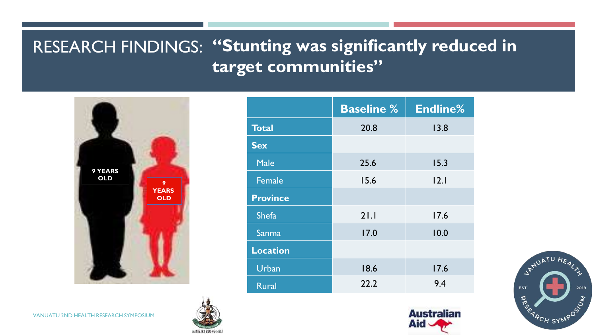#### RESEARCH FINDINGS: **"Stunting was significantly reduced in target communities"**



|                 | <b>Baseline %</b> | <b>Endline%</b> |
|-----------------|-------------------|-----------------|
| <b>Total</b>    | 20.8              | 13.8            |
| <b>Sex</b>      |                   |                 |
| <b>Male</b>     | 25.6              | 15.3            |
| <b>Female</b>   | 15.6              | 2.1             |
| <b>Province</b> |                   |                 |
| Shefa           | 21.1              | 17.6            |
| Sanma           | 17.0              | 10.0            |
| <b>Location</b> |                   |                 |
| Urban           | 18.6              | 17.6            |
| <b>Rural</b>    | 22.2              | 9.4             |





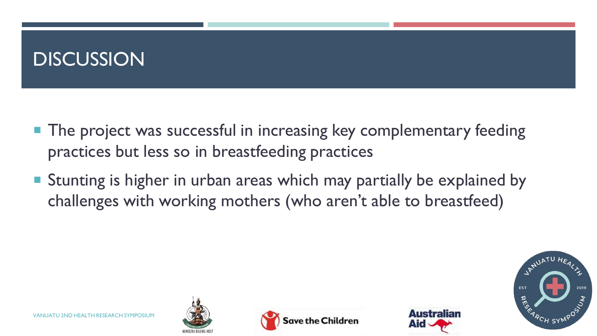### **DISCUSSION**

- **The project was successful in increasing key complementary feeding** practices but less so in breastfeeding practices
- **Stunting is higher in urban areas which may partially be explained by** challenges with working mothers (who aren't able to breastfeed)







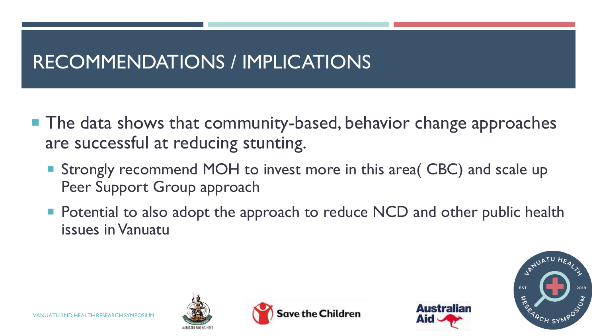### RECOMMENDATIONS / IMPLICATIONS

- **The data shows that community-based, behavior change approaches** are successful at reducing stunting.
	- Strongly recommend MOH to invest more in this area( CBC) and scale up Peer Support Group approach
	- **Potential to also adopt the approach to reduce NCD and other public health** issues in Vanuatu



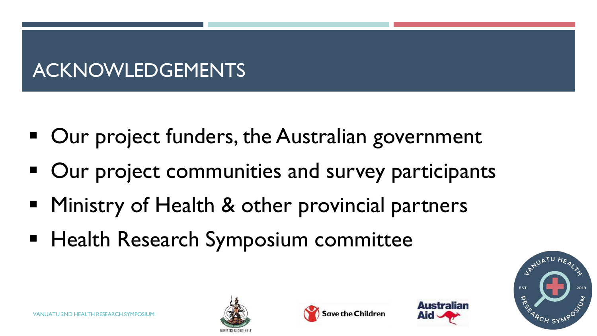## ACKNOWLEDGEMENTS

- Our project funders, the Australian government
- Our project communities and survey participants
- **Ministry of Health & other provincial partners**
- **Health Research Symposium committee**